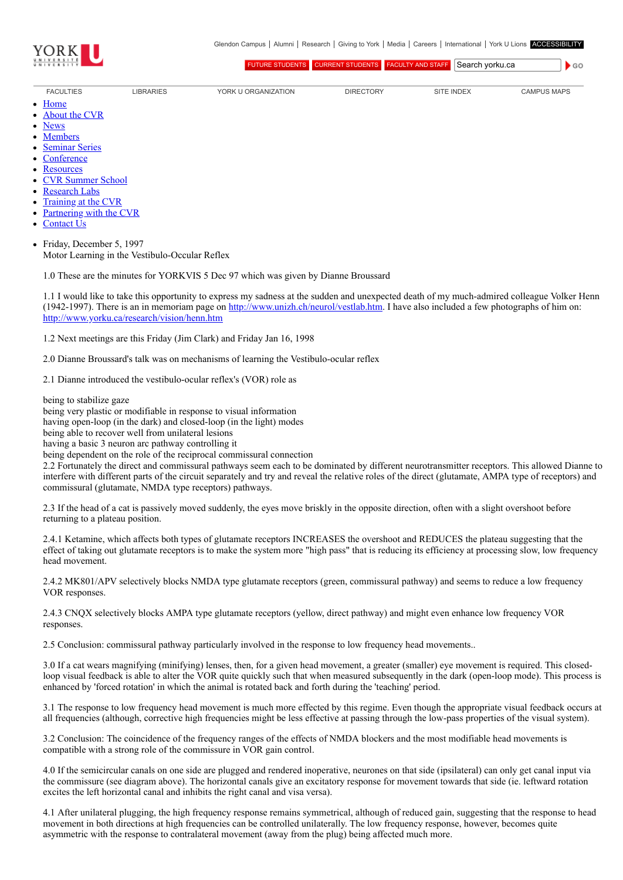

 $\bullet$  GO

[FUTURE STUDENTS](http://futurestudents.yorku.ca/) [CURRENT STUDENTS](http://www.yorku.ca/yorkweb/cs.htm) [FACULTY AND STAFF](http://www.yorku.ca/yorkweb/fs.htm) Search vorku.ca

[FACULTIES](http://www.yorku.ca/yorkweb/faculties.htm) [LIBRARIES](http://www.library.yorku.ca/) [YORK U ORGANIZATION](http://www.yorku.ca/yorkweb/org.htm) [DIRECTORY](http://www.yorku.ca/yorkatlas) [SITE INDEX](http://www.yorku.ca/yorkweb/siteindex.htm) [CAMPUS MAPS](http://www.yorku.ca/yorkweb/maps/)

- $\bullet$ **[Home](file:///C:/)** [About the CVR](file:///C:/content/about-cvr)
- 
- [News](file:///C:/newslatest)  $\bullet$
- **[Members](file:///C:/category/faculty/york-faculty)**  $\bullet$
- [Seminar Series](file:///C:/content/seminar-series)  $\bullet$ **[Conference](file:///C:/conferencearchive)**
- **[Resources](file:///C:/content/resources)**  $\bullet$
- [CVR Summer School](http://cvrss.info.yorku.ca/)
- [Research Labs](file:///C:/content/research-labs)
- 
- [Training at the CVR](file:///C:/content/training-cvr-0) [Partnering with the CVR](file:///C:/content/partnering-cvr-0)  $\bullet$
- [Contact Us](file:///C:/content/contact-cvr)

Friday, December 5, 1997  $\bullet$ Motor Learning in the Vestibulo-Occular Reflex

1.0 These are the minutes for YORKVIS 5 Dec 97 which was given by Dianne Broussard

1.1 I would like to take this opportunity to express my sadness at the sudden and unexpected death of my much-admired colleague Volker Henn (1942-1997). There is an in memoriam page on <http://www.unizh.ch/neurol/vestlab.htm>. I have also included a few photographs of him on: <http://www.yorku.ca/research/vision/henn.htm>

1.2 Next meetings are this Friday (Jim Clark) and Friday Jan 16, 1998

2.0 Dianne Broussard's talk was on mechanisms of learning the Vestibulo-ocular reflex

2.1 Dianne introduced the vestibulo-ocular reflex's (VOR) role as

being to stabilize gaze

being very plastic or modifiable in response to visual information

having open-loop (in the dark) and closed-loop (in the light) modes

being able to recover well from unilateral lesions

having a basic 3 neuron arc pathway controlling it

being dependent on the role of the reciprocal commissural connection

2.2 Fortunately the direct and commissural pathways seem each to be dominated by different neurotransmitter receptors. This allowed Dianne to interfere with different parts of the circuit separately and try and reveal the relative roles of the direct (glutamate, AMPA type of receptors) and commissural (glutamate, NMDA type receptors) pathways.

2.3 If the head of a cat is passively moved suddenly, the eyes move briskly in the opposite direction, often with a slight overshoot before returning to a plateau position.

2.4.1 Ketamine, which affects both types of glutamate receptors INCREASES the overshoot and REDUCES the plateau suggesting that the effect of taking out glutamate receptors is to make the system more "high pass" that is reducing its efficiency at processing slow, low frequency head movement.

2.4.2 MK801/APV selectively blocks NMDA type glutamate receptors (green, commissural pathway) and seems to reduce a low frequency VOR responses.

2.4.3 CNQX selectively blocks AMPA type glutamate receptors (yellow, direct pathway) and might even enhance low frequency VOR responses.

2.5 Conclusion: commissural pathway particularly involved in the response to low frequency head movements..

3.0 If a cat wears magnifying (minifying) lenses, then, for a given head movement, a greater (smaller) eye movement is required. This closedloop visual feedback is able to alter the VOR quite quickly such that when measured subsequently in the dark (open-loop mode). This process is enhanced by 'forced rotation' in which the animal is rotated back and forth during the 'teaching' period.

3.1 The response to low frequency head movement is much more effected by this regime. Even though the appropriate visual feedback occurs at all frequencies (although, corrective high frequencies might be less effective at passing through the low-pass properties of the visual system).

3.2 Conclusion: The coincidence of the frequency ranges of the effects of NMDA blockers and the most modifiable head movements is compatible with a strong role of the commissure in VOR gain control.

4.0 If the semicircular canals on one side are plugged and rendered inoperative, neurones on that side (ipsilateral) can only get canal input via the commissure (see diagram above). The horizontal canals give an excitatory response for movement towards that side (ie. leftward rotation excites the left horizontal canal and inhibits the right canal and visa versa).

4.1 After unilateral plugging, the high frequency response remains symmetrical, although of reduced gain, suggesting that the response to head movement in both directions at high frequencies can be controlled unilaterally. The low frequency response, however, becomes quite asymmetric with the response to contralateral movement (away from the plug) being affected much more.